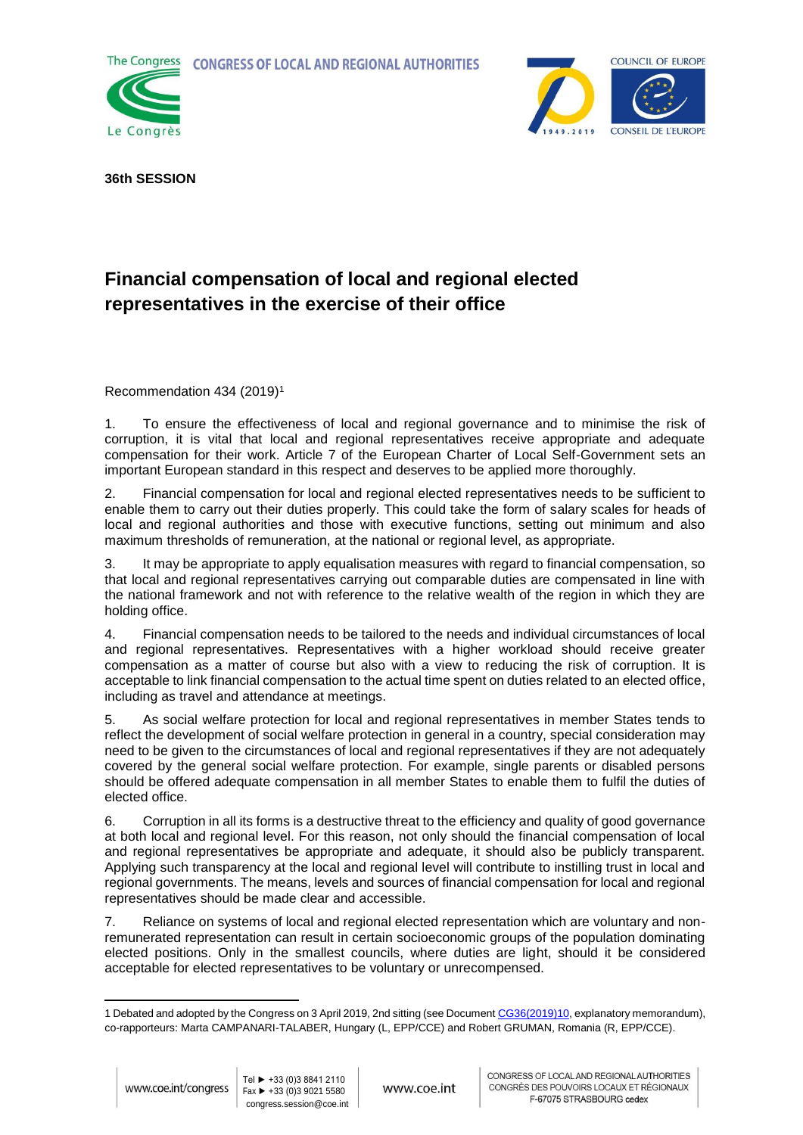**CONGRESS OF LOCAL AND REGIONAL AUTHORITIES** 





**36th SESSION**

## **Financial compensation of local and regional elected representatives in the exercise of their office**

Recommendation 434 (2019)<sup>1</sup>

1. To ensure the effectiveness of local and regional governance and to minimise the risk of corruption, it is vital that local and regional representatives receive appropriate and adequate compensation for their work. Article 7 of the European Charter of Local Self-Government sets an important European standard in this respect and deserves to be applied more thoroughly.

2. Financial compensation for local and regional elected representatives needs to be sufficient to enable them to carry out their duties properly. This could take the form of salary scales for heads of local and regional authorities and those with executive functions, setting out minimum and also maximum thresholds of remuneration, at the national or regional level, as appropriate.

3. It may be appropriate to apply equalisation measures with regard to financial compensation, so that local and regional representatives carrying out comparable duties are compensated in line with the national framework and not with reference to the relative wealth of the region in which they are holding office.

4. Financial compensation needs to be tailored to the needs and individual circumstances of local and regional representatives. Representatives with a higher workload should receive greater compensation as a matter of course but also with a view to reducing the risk of corruption. It is acceptable to link financial compensation to the actual time spent on duties related to an elected office, including as travel and attendance at meetings.

5. As social welfare protection for local and regional representatives in member States tends to reflect the development of social welfare protection in general in a country, special consideration may need to be given to the circumstances of local and regional representatives if they are not adequately covered by the general social welfare protection. For example, single parents or disabled persons should be offered adequate compensation in all member States to enable them to fulfil the duties of elected office.

6. Corruption in all its forms is a destructive threat to the efficiency and quality of good governance at both local and regional level. For this reason, not only should the financial compensation of local and regional representatives be appropriate and adequate, it should also be publicly transparent. Applying such transparency at the local and regional level will contribute to instilling trust in local and regional governments. The means, levels and sources of financial compensation for local and regional representatives should be made clear and accessible.

7. Reliance on systems of local and regional elected representation which are voluntary and nonremunerated representation can result in certain socioeconomic groups of the population dominating elected positions. Only in the smallest councils, where duties are light, should it be considered acceptable for elected representatives to be voluntary or unrecompensed.

<sup>-</sup>1 Debated and adopted by the Congress on 3 April 2019, 2nd sitting (see Documen[t CG36\(2019\)10,](https://rm.coe.int/financial-compensation-of-local-and-regional-elected-representatives-i/1680931258) explanatory memorandum), co-rapporteurs: Marta CAMPANARI-TALABER, Hungary (L, EPP/CCE) and Robert GRUMAN, Romania (R, EPP/CCE).